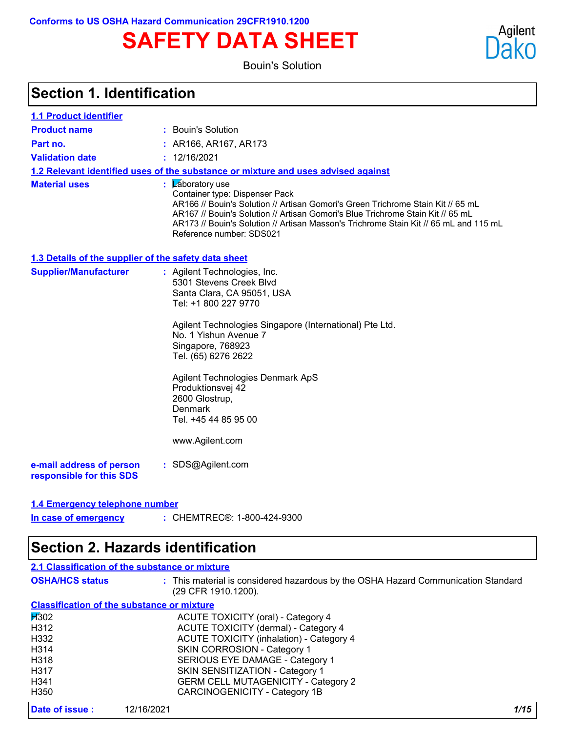# **SAFETY DATA SHEET**

Bouin's Solution



### **Section 1. Identification**

| <b>1.1 Product identifier</b>                        |                                                                                                                                                                                                                                                                                                                                                                                |  |  |
|------------------------------------------------------|--------------------------------------------------------------------------------------------------------------------------------------------------------------------------------------------------------------------------------------------------------------------------------------------------------------------------------------------------------------------------------|--|--|
| <b>Product name</b>                                  | : Bouin's Solution                                                                                                                                                                                                                                                                                                                                                             |  |  |
| Part no.                                             | : AR166, AR167, AR173                                                                                                                                                                                                                                                                                                                                                          |  |  |
| <b>Validation date</b>                               | : 12/16/2021                                                                                                                                                                                                                                                                                                                                                                   |  |  |
|                                                      | 1.2 Relevant identified uses of the substance or mixture and uses advised against                                                                                                                                                                                                                                                                                              |  |  |
| <b>Material uses</b>                                 | <b>Zaboratory</b> use<br>Container type: Dispenser Pack<br>AR166 // Bouin's Solution // Artisan Gomori's Green Trichrome Stain Kit // 65 mL<br>AR167 // Bouin's Solution // Artisan Gomori's Blue Trichrome Stain Kit // 65 mL<br>AR173 // Bouin's Solution // Artisan Masson's Trichrome Stain Kit // 65 mL and 115 mL<br>Reference number: SDS021                            |  |  |
| 1.3 Details of the supplier of the safety data sheet |                                                                                                                                                                                                                                                                                                                                                                                |  |  |
| <b>Supplier/Manufacturer</b>                         | : Agilent Technologies, Inc.<br>5301 Stevens Creek Blvd<br>Santa Clara, CA 95051, USA<br>Tel: +1 800 227 9770<br>Agilent Technologies Singapore (International) Pte Ltd.<br>No. 1 Yishun Avenue 7<br>Singapore, 768923<br>Tel. (65) 6276 2622<br>Agilent Technologies Denmark ApS<br>Produktionsvej 42<br>2600 Glostrup,<br>Denmark<br>Tel. +45 44 85 95 00<br>www.Agilent.com |  |  |
| e-mail address of person<br>responsible for this SDS | : SDS@Agilent.com                                                                                                                                                                                                                                                                                                                                                              |  |  |
| 1.4 Emergency telephone number                       |                                                                                                                                                                                                                                                                                                                                                                                |  |  |
| In case of emergency                                 | : CHEMTREC®: 1-800-424-9300                                                                                                                                                                                                                                                                                                                                                    |  |  |

### **Section 2. Hazards identification**

|                        | 2.1 Classification of the substance or mixture                                                           |
|------------------------|----------------------------------------------------------------------------------------------------------|
| <b>OSHA/HCS status</b> | : This material is considered hazardous by the OSHA Hazard Communication Standard<br>(29 CFR 1910.1200). |
|                        | <b>Classification of the substance or mixture</b>                                                        |
| H <sub>302</sub>       | ACUTE TOXICITY (oral) - Category 4                                                                       |
| H312                   | ACUTE TOXICITY (dermal) - Category 4                                                                     |
| H332                   | <b>ACUTE TOXICITY (inhalation) - Category 4</b>                                                          |
| H <sub>3</sub> 14      | SKIN CORROSION - Category 1                                                                              |
| H <sub>318</sub>       | SERIOUS EYE DAMAGE - Category 1                                                                          |
| H317                   | SKIN SENSITIZATION - Category 1                                                                          |
| H <sub>341</sub>       | <b>GERM CELL MUTAGENICITY - Category 2</b>                                                               |
| H <sub>350</sub>       | <b>CARCINOGENICITY - Category 1B</b>                                                                     |
| Date of issue:         | 1/15<br>12/16/2021                                                                                       |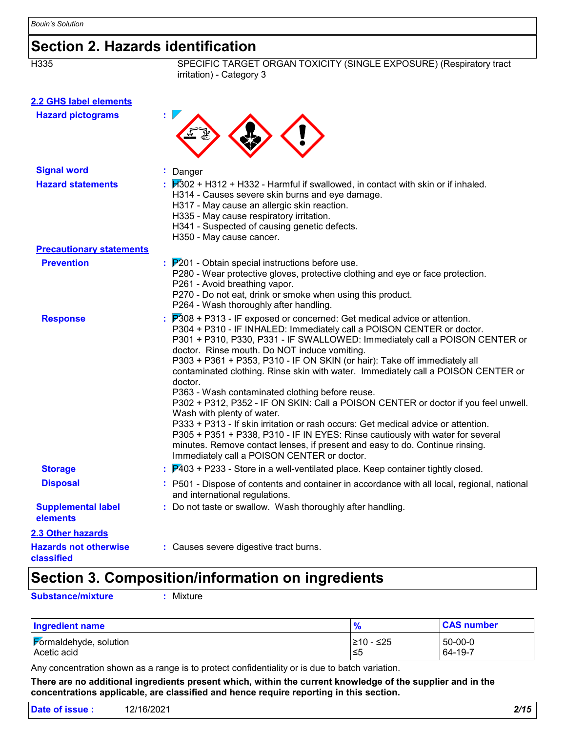## **Section 2. Hazards identification**

SPECIFIC TARGET ORGAN TOXICITY (SINGLE EXPOSURE) (Respiratory tract irritation) - Category 3

| 2.2 GHS label elements                |                                                                                                                                                                                                                                                                                                                                                                                                                                                                                                                                                                                                                                                                                                                                                                                                                                                                                                                                           |
|---------------------------------------|-------------------------------------------------------------------------------------------------------------------------------------------------------------------------------------------------------------------------------------------------------------------------------------------------------------------------------------------------------------------------------------------------------------------------------------------------------------------------------------------------------------------------------------------------------------------------------------------------------------------------------------------------------------------------------------------------------------------------------------------------------------------------------------------------------------------------------------------------------------------------------------------------------------------------------------------|
| <b>Hazard pictograms</b>              |                                                                                                                                                                                                                                                                                                                                                                                                                                                                                                                                                                                                                                                                                                                                                                                                                                                                                                                                           |
| <b>Signal word</b>                    | : Danger                                                                                                                                                                                                                                                                                                                                                                                                                                                                                                                                                                                                                                                                                                                                                                                                                                                                                                                                  |
| <b>Hazard statements</b>              | $\cancel{1302}$ + H312 + H332 - Harmful if swallowed, in contact with skin or if inhaled.<br>H314 - Causes severe skin burns and eye damage.<br>H317 - May cause an allergic skin reaction.<br>H335 - May cause respiratory irritation.<br>H341 - Suspected of causing genetic defects.<br>H350 - May cause cancer.                                                                                                                                                                                                                                                                                                                                                                                                                                                                                                                                                                                                                       |
| <b>Precautionary statements</b>       |                                                                                                                                                                                                                                                                                                                                                                                                                                                                                                                                                                                                                                                                                                                                                                                                                                                                                                                                           |
| <b>Prevention</b>                     | $P201$ - Obtain special instructions before use.<br>P280 - Wear protective gloves, protective clothing and eye or face protection.<br>P261 - Avoid breathing vapor.<br>P270 - Do not eat, drink or smoke when using this product.<br>P264 - Wash thoroughly after handling.                                                                                                                                                                                                                                                                                                                                                                                                                                                                                                                                                                                                                                                               |
| <b>Response</b>                       | P308 + P313 - IF exposed or concerned: Get medical advice or attention.<br>P304 + P310 - IF INHALED: Immediately call a POISON CENTER or doctor.<br>P301 + P310, P330, P331 - IF SWALLOWED: Immediately call a POISON CENTER or<br>doctor. Rinse mouth. Do NOT induce vomiting.<br>P303 + P361 + P353, P310 - IF ON SKIN (or hair): Take off immediately all<br>contaminated clothing. Rinse skin with water. Immediately call a POISON CENTER or<br>doctor.<br>P363 - Wash contaminated clothing before reuse.<br>P302 + P312, P352 - IF ON SKIN: Call a POISON CENTER or doctor if you feel unwell.<br>Wash with plenty of water.<br>P333 + P313 - If skin irritation or rash occurs: Get medical advice or attention.<br>P305 + P351 + P338, P310 - IF IN EYES: Rinse cautiously with water for several<br>minutes. Remove contact lenses, if present and easy to do. Continue rinsing.<br>Immediately call a POISON CENTER or doctor. |
| <b>Storage</b>                        | $\frac{1}{2}$ $\mathbb{P}$ 403 + P233 - Store in a well-ventilated place. Keep container tightly closed.                                                                                                                                                                                                                                                                                                                                                                                                                                                                                                                                                                                                                                                                                                                                                                                                                                  |
| <b>Disposal</b>                       | : P501 - Dispose of contents and container in accordance with all local, regional, national<br>and international regulations.                                                                                                                                                                                                                                                                                                                                                                                                                                                                                                                                                                                                                                                                                                                                                                                                             |
| <b>Supplemental label</b><br>elements | : Do not taste or swallow. Wash thoroughly after handling.                                                                                                                                                                                                                                                                                                                                                                                                                                                                                                                                                                                                                                                                                                                                                                                                                                                                                |
| <b>2.3 Other hazards</b>              |                                                                                                                                                                                                                                                                                                                                                                                                                                                                                                                                                                                                                                                                                                                                                                                                                                                                                                                                           |
|                                       | . Ostronom surround allowadities for all later                                                                                                                                                                                                                                                                                                                                                                                                                                                                                                                                                                                                                                                                                                                                                                                                                                                                                            |

**Hazards not otherwise classified**

**:** Causes severe digestive tract burns.

## **Section 3. Composition/information on ingredients**

**Substance/mixture :** Mixture

| <b>Ingredient name</b> | 70         | <b>CAS number</b> |
|------------------------|------------|-------------------|
| Formaldehyde, solution | I≥10 - ≤25 | 50-00-0           |
| Acetic acid            | 1≤5        | 64-19-7           |

Any concentration shown as a range is to protect confidentiality or is due to batch variation.

**There are no additional ingredients present which, within the current knowledge of the supplier and in the concentrations applicable, are classified and hence require reporting in this section.**

| Date of issue : | 12/16/2021 | 2/15 |
|-----------------|------------|------|
|                 |            |      |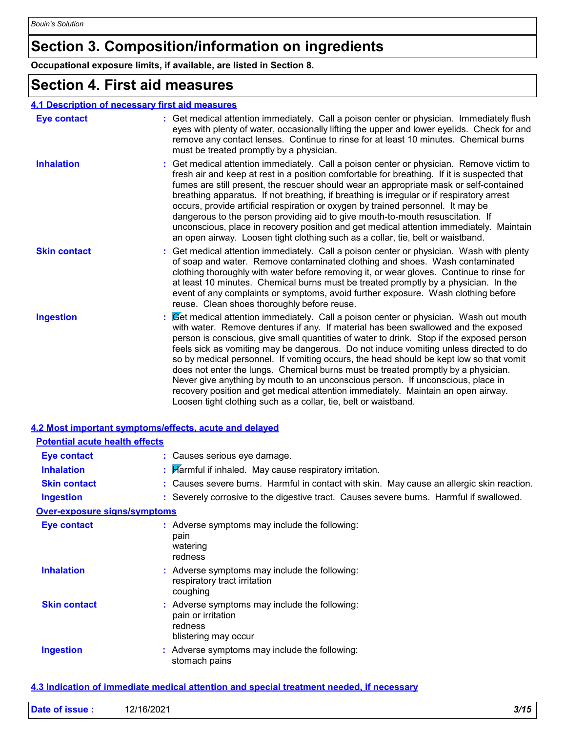## **Section 3. Composition/information on ingredients**

**Occupational exposure limits, if available, are listed in Section 8.**

### **Section 4. First aid measures**

### **4.1 Description of necessary first aid measures**

| <b>Eye contact</b>  | : Get medical attention immediately. Call a poison center or physician. Immediately flush<br>eyes with plenty of water, occasionally lifting the upper and lower eyelids. Check for and<br>remove any contact lenses. Continue to rinse for at least 10 minutes. Chemical burns<br>must be treated promptly by a physician.                                                                                                                                                                                                                                                                                                                                                                                                                                                                 |
|---------------------|---------------------------------------------------------------------------------------------------------------------------------------------------------------------------------------------------------------------------------------------------------------------------------------------------------------------------------------------------------------------------------------------------------------------------------------------------------------------------------------------------------------------------------------------------------------------------------------------------------------------------------------------------------------------------------------------------------------------------------------------------------------------------------------------|
| <b>Inhalation</b>   | : Get medical attention immediately. Call a poison center or physician. Remove victim to<br>fresh air and keep at rest in a position comfortable for breathing. If it is suspected that<br>fumes are still present, the rescuer should wear an appropriate mask or self-contained<br>breathing apparatus. If not breathing, if breathing is irregular or if respiratory arrest<br>occurs, provide artificial respiration or oxygen by trained personnel. It may be<br>dangerous to the person providing aid to give mouth-to-mouth resuscitation. If<br>unconscious, place in recovery position and get medical attention immediately. Maintain<br>an open airway. Loosen tight clothing such as a collar, tie, belt or waistband.                                                          |
| <b>Skin contact</b> | : Get medical attention immediately. Call a poison center or physician. Wash with plenty<br>of soap and water. Remove contaminated clothing and shoes. Wash contaminated<br>clothing thoroughly with water before removing it, or wear gloves. Continue to rinse for<br>at least 10 minutes. Chemical burns must be treated promptly by a physician. In the<br>event of any complaints or symptoms, avoid further exposure. Wash clothing before<br>reuse. Clean shoes thoroughly before reuse.                                                                                                                                                                                                                                                                                             |
| <b>Ingestion</b>    | : Cet medical attention immediately. Call a poison center or physician. Wash out mouth<br>with water. Remove dentures if any. If material has been swallowed and the exposed<br>person is conscious, give small quantities of water to drink. Stop if the exposed person<br>feels sick as vomiting may be dangerous. Do not induce vomiting unless directed to do<br>so by medical personnel. If vomiting occurs, the head should be kept low so that vomit<br>does not enter the lungs. Chemical burns must be treated promptly by a physician.<br>Never give anything by mouth to an unconscious person. If unconscious, place in<br>recovery position and get medical attention immediately. Maintain an open airway.<br>Loosen tight clothing such as a collar, tie, belt or waistband. |

| 4.2 Most important symptoms/effects, acute and delayed |                                                                                                        |
|--------------------------------------------------------|--------------------------------------------------------------------------------------------------------|
| <b>Potential acute health effects</b>                  |                                                                                                        |
| Eye contact                                            | : Causes serious eye damage.                                                                           |
| <b>Inhalation</b>                                      | : $\mathcal{H}$ armful if inhaled. May cause respiratory irritation.                                   |
| <b>Skin contact</b>                                    | : Causes severe burns. Harmful in contact with skin. May cause an allergic skin reaction.              |
| <b>Ingestion</b>                                       | : Severely corrosive to the digestive tract. Causes severe burns. Harmful if swallowed.                |
| <b>Over-exposure signs/symptoms</b>                    |                                                                                                        |
| <b>Eye contact</b>                                     | : Adverse symptoms may include the following:<br>pain<br>watering<br>redness                           |
| <b>Inhalation</b>                                      | : Adverse symptoms may include the following:<br>respiratory tract irritation<br>coughing              |
| <b>Skin contact</b>                                    | : Adverse symptoms may include the following:<br>pain or irritation<br>redness<br>blistering may occur |
| <b>Ingestion</b>                                       | : Adverse symptoms may include the following:<br>stomach pains                                         |

#### **4.3 Indication of immediate medical attention and special treatment needed, if necessary**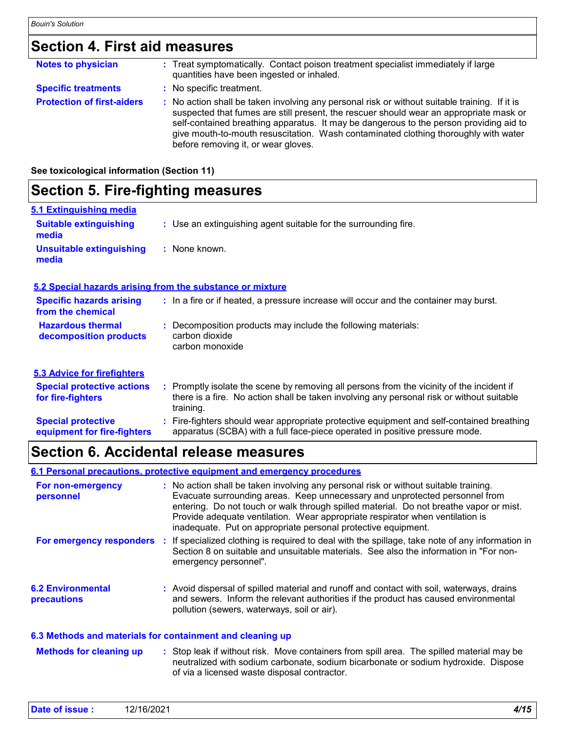### **Section 4. First aid measures**

| <b>Notes to physician</b>         | : Treat symptomatically. Contact poison treatment specialist immediately if large<br>quantities have been ingested or inhaled.                                                                                                                                                                                                                                                                                  |
|-----------------------------------|-----------------------------------------------------------------------------------------------------------------------------------------------------------------------------------------------------------------------------------------------------------------------------------------------------------------------------------------------------------------------------------------------------------------|
| <b>Specific treatments</b>        | : No specific treatment.                                                                                                                                                                                                                                                                                                                                                                                        |
| <b>Protection of first-aiders</b> | : No action shall be taken involving any personal risk or without suitable training. If it is<br>suspected that fumes are still present, the rescuer should wear an appropriate mask or<br>self-contained breathing apparatus. It may be dangerous to the person providing aid to<br>give mouth-to-mouth resuscitation. Wash contaminated clothing thoroughly with water<br>before removing it, or wear gloves. |

**See toxicological information (Section 11)**

### **Section 5. Fire-fighting measures**

| 5.1 Extinguishing media                              |                                                                                       |
|------------------------------------------------------|---------------------------------------------------------------------------------------|
| <b>Suitable extinguishing</b><br>media               | : Use an extinguishing agent suitable for the surrounding fire.                       |
| <b>Unsuitable extinguishing</b><br>media             | : None known.                                                                         |
|                                                      | 5.2 Special hazards arising from the substance or mixture                             |
| <b>Specific hazards arising</b><br>from the chemical | : In a fire or if heated, a pressure increase will occur and the container may burst. |
| <b>Hazardous thermal</b><br>decomposition products   | : Decomposition products may include the following materials:<br>carbon dioxide       |

carbon dioxide carbon monoxide

| 5.3 Advice for firefighters                              |                                                                                                                                                                                                     |
|----------------------------------------------------------|-----------------------------------------------------------------------------------------------------------------------------------------------------------------------------------------------------|
| <b>Special protective actions</b><br>for fire-fighters   | : Promptly isolate the scene by removing all persons from the vicinity of the incident if<br>there is a fire. No action shall be taken involving any personal risk or without suitable<br>training. |
| <b>Special protective</b><br>equipment for fire-fighters | : Fire-fighters should wear appropriate protective equipment and self-contained breathing<br>apparatus (SCBA) with a full face-piece operated in positive pressure mode.                            |

### **Section 6. Accidental release measures**

#### **6.1 Personal precautions, protective equipment and emergency procedures**

| For non-emergency<br>personnel                            | : No action shall be taken involving any personal risk or without suitable training.<br>Evacuate surrounding areas. Keep unnecessary and unprotected personnel from<br>entering. Do not touch or walk through spilled material. Do not breathe vapor or mist.<br>Provide adequate ventilation. Wear appropriate respirator when ventilation is<br>inadequate. Put on appropriate personal protective equipment. |
|-----------------------------------------------------------|-----------------------------------------------------------------------------------------------------------------------------------------------------------------------------------------------------------------------------------------------------------------------------------------------------------------------------------------------------------------------------------------------------------------|
| For emergency responders                                  | If specialized clothing is required to deal with the spillage, take note of any information in<br>Section 8 on suitable and unsuitable materials. See also the information in "For non-<br>emergency personnel".                                                                                                                                                                                                |
| <b>6.2 Environmental</b><br>precautions                   | : Avoid dispersal of spilled material and runoff and contact with soil, waterways, drains<br>and sewers. Inform the relevant authorities if the product has caused environmental<br>pollution (sewers, waterways, soil or air).                                                                                                                                                                                 |
| 6.3 Methods and materials for containment and cleaning up |                                                                                                                                                                                                                                                                                                                                                                                                                 |

: Stop leak if without risk. Move containers from spill area. The spilled material may be neutralized with sodium carbonate, sodium bicarbonate or sodium hydroxide. Dispose of via a licensed waste disposal contractor. **Methods for cleaning up :**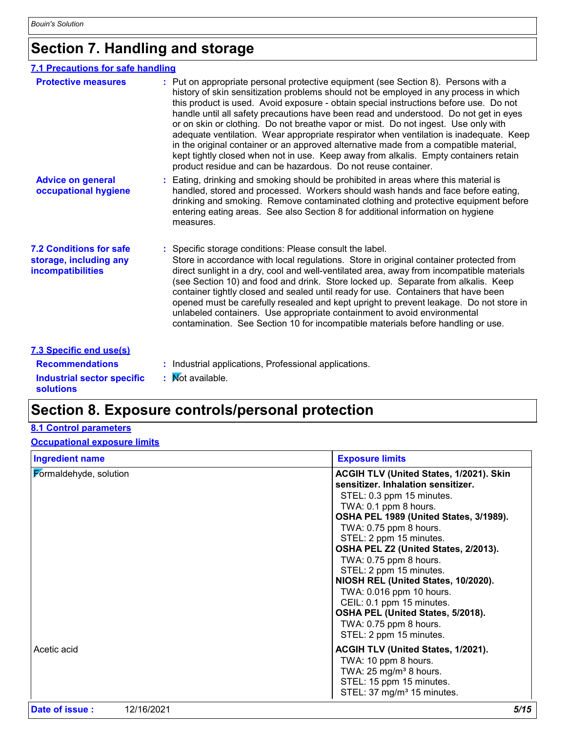## **Section 7. Handling and storage**

### **7.1 Precautions for safe handling**

| <b>Protective measures</b>                                                           | : Put on appropriate personal protective equipment (see Section 8). Persons with a<br>history of skin sensitization problems should not be employed in any process in which<br>this product is used. Avoid exposure - obtain special instructions before use. Do not<br>handle until all safety precautions have been read and understood. Do not get in eyes<br>or on skin or clothing. Do not breathe vapor or mist. Do not ingest. Use only with<br>adequate ventilation. Wear appropriate respirator when ventilation is inadequate. Keep<br>in the original container or an approved alternative made from a compatible material,<br>kept tightly closed when not in use. Keep away from alkalis. Empty containers retain<br>product residue and can be hazardous. Do not reuse container. |
|--------------------------------------------------------------------------------------|-------------------------------------------------------------------------------------------------------------------------------------------------------------------------------------------------------------------------------------------------------------------------------------------------------------------------------------------------------------------------------------------------------------------------------------------------------------------------------------------------------------------------------------------------------------------------------------------------------------------------------------------------------------------------------------------------------------------------------------------------------------------------------------------------|
| <b>Advice on general</b><br>occupational hygiene                                     | Eating, drinking and smoking should be prohibited in areas where this material is<br>handled, stored and processed. Workers should wash hands and face before eating,<br>drinking and smoking. Remove contaminated clothing and protective equipment before<br>entering eating areas. See also Section 8 for additional information on hygiene<br>measures.                                                                                                                                                                                                                                                                                                                                                                                                                                     |
| <b>7.2 Conditions for safe</b><br>storage, including any<br><i>incompatibilities</i> | : Specific storage conditions: Please consult the label.<br>Store in accordance with local regulations. Store in original container protected from<br>direct sunlight in a dry, cool and well-ventilated area, away from incompatible materials<br>(see Section 10) and food and drink. Store locked up. Separate from alkalis. Keep<br>container tightly closed and sealed until ready for use. Containers that have been<br>opened must be carefully resealed and kept upright to prevent leakage. Do not store in<br>unlabeled containers. Use appropriate containment to avoid environmental<br>contamination. See Section 10 for incompatible materials before handling or use.                                                                                                            |
| 7.3 Specific end use(s)                                                              |                                                                                                                                                                                                                                                                                                                                                                                                                                                                                                                                                                                                                                                                                                                                                                                                 |
| <b>Recommendations</b>                                                               | : Industrial applications, Professional applications.                                                                                                                                                                                                                                                                                                                                                                                                                                                                                                                                                                                                                                                                                                                                           |
| <b>Industrial sector specific</b><br><b>solutions</b>                                | <b>Not available.</b>                                                                                                                                                                                                                                                                                                                                                                                                                                                                                                                                                                                                                                                                                                                                                                           |

### **Section 8. Exposure controls/personal protection**

### **8.1 Control parameters**

### **Occupational exposure limits**

| <b>Ingredient name</b> | <b>Exposure limits</b>                                                                                                                                                                                                                                                                                                                                                                                                                                                                                                           |
|------------------------|----------------------------------------------------------------------------------------------------------------------------------------------------------------------------------------------------------------------------------------------------------------------------------------------------------------------------------------------------------------------------------------------------------------------------------------------------------------------------------------------------------------------------------|
| Formaldehyde, solution | <b>ACGIH TLV (United States, 1/2021). Skin</b><br>sensitizer. Inhalation sensitizer.<br>STEL: 0.3 ppm 15 minutes.<br>TWA: 0.1 ppm 8 hours.<br>OSHA PEL 1989 (United States, 3/1989).<br>TWA: 0.75 ppm 8 hours.<br>STEL: 2 ppm 15 minutes.<br>OSHA PEL Z2 (United States, 2/2013).<br>TWA: 0.75 ppm 8 hours.<br>STEL: 2 ppm 15 minutes.<br>NIOSH REL (United States, 10/2020).<br>TWA: 0.016 ppm 10 hours.<br>CEIL: 0.1 ppm 15 minutes.<br>OSHA PEL (United States, 5/2018).<br>TWA: 0.75 ppm 8 hours.<br>STEL: 2 ppm 15 minutes. |
| Acetic acid            | ACGIH TLV (United States, 1/2021).<br>TWA: 10 ppm 8 hours.<br>TWA: $25 \text{ mg/m}^3$ 8 hours.<br>STEL: 15 ppm 15 minutes.<br>STEL: 37 mg/m <sup>3</sup> 15 minutes.                                                                                                                                                                                                                                                                                                                                                            |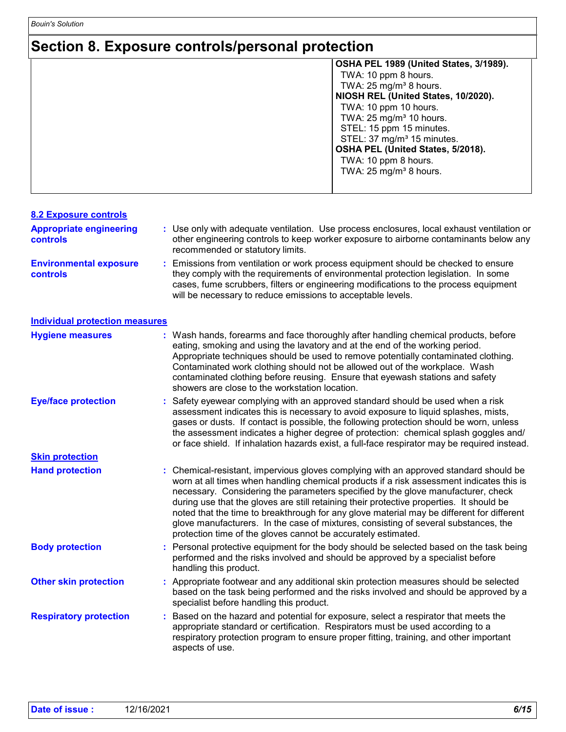## **Section 8. Exposure controls/personal protection**

| OSHA PEL 1989 (United States, 3/1989). |
|----------------------------------------|
| TWA: 10 ppm 8 hours.                   |
| TWA: $25 \text{ mg/m}^3$ 8 hours.      |
| NIOSH REL (United States, 10/2020).    |
| TWA: 10 ppm 10 hours.                  |
| TWA: $25 \text{ mg/m}^3$ 10 hours.     |
| STEL: 15 ppm 15 minutes.               |
| STEL: 37 mg/m <sup>3</sup> 15 minutes. |
| OSHA PEL (United States, 5/2018).      |
| TWA: 10 ppm 8 hours.                   |
| TWA: $25 \text{ mg/m}^3$ 8 hours.      |
|                                        |
|                                        |

| <b>8.2 Exposure controls</b>                      |   |                                                                                                                                                                                                                                                                                                                                                                                                                                                                                                                                                                                                                        |
|---------------------------------------------------|---|------------------------------------------------------------------------------------------------------------------------------------------------------------------------------------------------------------------------------------------------------------------------------------------------------------------------------------------------------------------------------------------------------------------------------------------------------------------------------------------------------------------------------------------------------------------------------------------------------------------------|
| <b>Appropriate engineering</b><br><b>controls</b> |   | : Use only with adequate ventilation. Use process enclosures, local exhaust ventilation or<br>other engineering controls to keep worker exposure to airborne contaminants below any<br>recommended or statutory limits.                                                                                                                                                                                                                                                                                                                                                                                                |
| <b>Environmental exposure</b><br>controls         |   | Emissions from ventilation or work process equipment should be checked to ensure<br>they comply with the requirements of environmental protection legislation. In some<br>cases, fume scrubbers, filters or engineering modifications to the process equipment<br>will be necessary to reduce emissions to acceptable levels.                                                                                                                                                                                                                                                                                          |
| <b>Individual protection measures</b>             |   |                                                                                                                                                                                                                                                                                                                                                                                                                                                                                                                                                                                                                        |
| <b>Hygiene measures</b>                           |   | Wash hands, forearms and face thoroughly after handling chemical products, before<br>eating, smoking and using the lavatory and at the end of the working period.<br>Appropriate techniques should be used to remove potentially contaminated clothing.<br>Contaminated work clothing should not be allowed out of the workplace. Wash<br>contaminated clothing before reusing. Ensure that eyewash stations and safety<br>showers are close to the workstation location.                                                                                                                                              |
| <b>Eye/face protection</b>                        |   | Safety eyewear complying with an approved standard should be used when a risk<br>assessment indicates this is necessary to avoid exposure to liquid splashes, mists,<br>gases or dusts. If contact is possible, the following protection should be worn, unless<br>the assessment indicates a higher degree of protection: chemical splash goggles and/<br>or face shield. If inhalation hazards exist, a full-face respirator may be required instead.                                                                                                                                                                |
| <b>Skin protection</b>                            |   |                                                                                                                                                                                                                                                                                                                                                                                                                                                                                                                                                                                                                        |
| <b>Hand protection</b>                            |   | : Chemical-resistant, impervious gloves complying with an approved standard should be<br>worn at all times when handling chemical products if a risk assessment indicates this is<br>necessary. Considering the parameters specified by the glove manufacturer, check<br>during use that the gloves are still retaining their protective properties. It should be<br>noted that the time to breakthrough for any glove material may be different for different<br>glove manufacturers. In the case of mixtures, consisting of several substances, the<br>protection time of the gloves cannot be accurately estimated. |
| <b>Body protection</b>                            |   | Personal protective equipment for the body should be selected based on the task being<br>performed and the risks involved and should be approved by a specialist before<br>handling this product.                                                                                                                                                                                                                                                                                                                                                                                                                      |
| <b>Other skin protection</b>                      |   | Appropriate footwear and any additional skin protection measures should be selected<br>based on the task being performed and the risks involved and should be approved by a<br>specialist before handling this product.                                                                                                                                                                                                                                                                                                                                                                                                |
| <b>Respiratory protection</b>                     | ÷ | Based on the hazard and potential for exposure, select a respirator that meets the<br>appropriate standard or certification. Respirators must be used according to a<br>respiratory protection program to ensure proper fitting, training, and other important<br>aspects of use.                                                                                                                                                                                                                                                                                                                                      |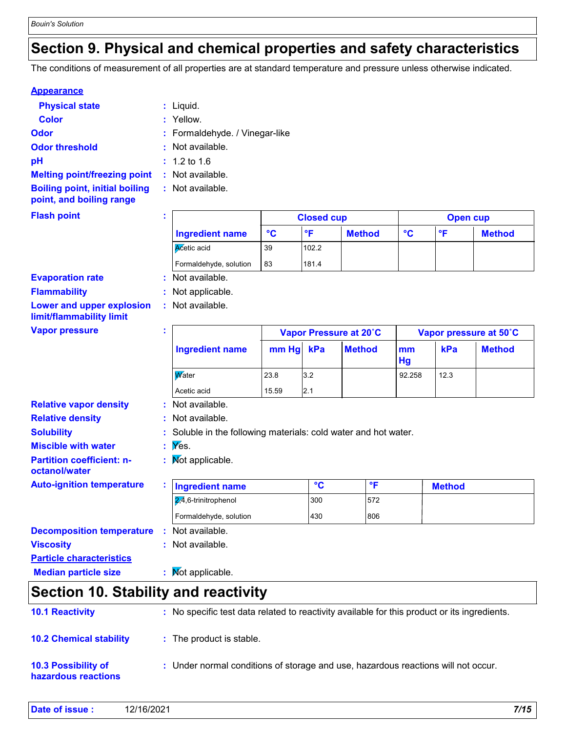### **Section 9. Physical and chemical properties and safety characteristics**

The conditions of measurement of all properties are at standard temperature and pressure unless otherwise indicated.

#### **Appearance**

| <b>Physical state</b>                                             | $:$ Liquid.                    |        |
|-------------------------------------------------------------------|--------------------------------|--------|
| <b>Color</b>                                                      | : Yellow.                      |        |
| <b>Odor</b>                                                       | : Formaldehyde. / Vinegar-like |        |
| <b>Odor threshold</b>                                             | : Not available.               |        |
| рH                                                                | $: 1.2 \text{ to } 1.6$        |        |
| <b>Melting point/freezing point</b>                               | : Not available.               |        |
| <b>Boiling point, initial boiling</b><br>point, and boiling range | : Not available.               |        |
| <b>Flash point</b>                                                |                                | Closed |

| $\mathbf{r}$<br>۰. |                        |    | <b>Closed cup</b> |               |    | Open cup |               |  |  |
|--------------------|------------------------|----|-------------------|---------------|----|----------|---------------|--|--|
|                    | <b>Ingredient name</b> | °C | ۰F                | <b>Method</b> | °C | ∘⊏       | <b>Method</b> |  |  |
|                    | Acetic acid            | 39 | 102.2             |               |    |          |               |  |  |
|                    | Formaldehyde, solution | 83 | 181.4             |               |    |          |               |  |  |
|                    | : Not available.       |    |                   |               |    |          |               |  |  |

#### **Evaporation rate**

**Flammability :** Not applicable.

**Lower and upper explosion limit/flammability limit**

#### **Vapor pressure**

| <b>Vapor pressure</b>            | п.<br>$\mathbf{r}$                                              | Vapor Pressure at 20°C |      |               | Vapor pressure at 50°C |      |               |
|----------------------------------|-----------------------------------------------------------------|------------------------|------|---------------|------------------------|------|---------------|
|                                  | <b>Ingredient name</b>                                          | mm Hg                  | kPa  | <b>Method</b> | mm<br>Hg               | kPa  | <b>Method</b> |
|                                  | <b>W</b> ater                                                   | 23.8                   | 3.2  |               | 92.258                 | 12.3 |               |
|                                  | Acetic acid                                                     | 15.59                  | 12.1 |               |                        |      |               |
| <b>Relative vapor density</b>    | : Not available.                                                |                        |      |               |                        |      |               |
| <b>Relative density</b>          | : Not available.                                                |                        |      |               |                        |      |               |
| <b>Solubility</b>                | : Soluble in the following materials: cold water and hot water. |                        |      |               |                        |      |               |
| <b>Miscible with water</b>       | $\mathbf{y} \in \mathbf{y}$ Yes.                                |                        |      |               |                        |      |               |
| <b>Partition coefficient: n-</b> | Not applicable.                                                 |                        |      |               |                        |      |               |

**Partition coefficient: noctanol/water**

**Auto-ignition temperature**

**Particle characteristics**

| <b>Ingredient name</b>         | $\sim$ | $\circ$ c | <b>Method</b> |
|--------------------------------|--------|-----------|---------------|
| $\sqrt{2,4}$ ,6-trinitrophenol | 300    | 572       |               |
| Formaldehyde, solution         | 430    | 806       |               |

| <b>Decomposition temperature</b> |  | : Not available. |  |
|----------------------------------|--|------------------|--|
|                                  |  |                  |  |

**Viscosity Constitution Constitution Constitution Constitution Constitution Constitution Constitution Constitution Constitution Constitution Constitution Constitution Constitution Constitution Constitution Constitution C** 

**:**

**:** Not available.

**Median particle size : Not applicable.** 

### **Section 10. Stability and reactivity**

| <b>10.1 Reactivity</b>                            | : No specific test data related to reactivity available for this product or its ingredients. |
|---------------------------------------------------|----------------------------------------------------------------------------------------------|
| <b>10.2 Chemical stability</b>                    | : The product is stable.                                                                     |
| <b>10.3 Possibility of</b><br>hazardous reactions | : Under normal conditions of storage and use, hazardous reactions will not occur.            |

| Date of issue: | 12/16/2021 | 7/15 |
|----------------|------------|------|
|----------------|------------|------|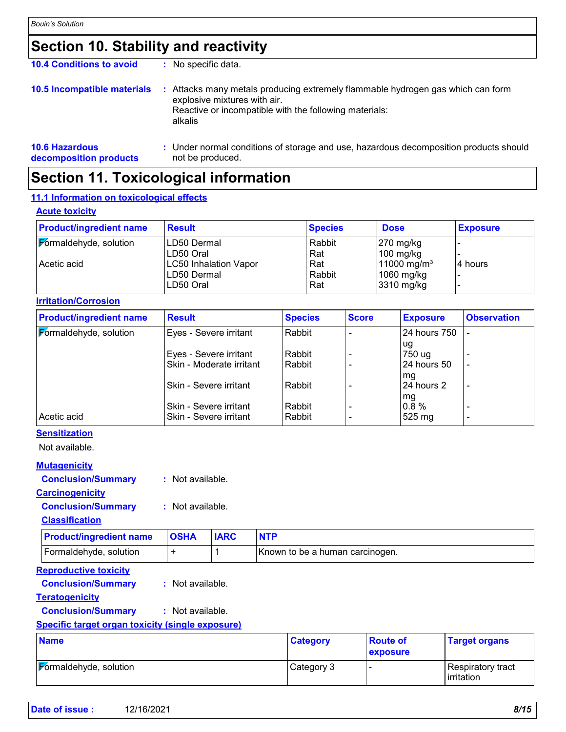## **Section 10. Stability and reactivity**

| <b>10.4 Conditions to avoid</b>                 | No specific data.                                                                                                                                                                  |  |
|-------------------------------------------------|------------------------------------------------------------------------------------------------------------------------------------------------------------------------------------|--|
| 10.5 Incompatible materials                     | Attacks many metals producing extremely flammable hydrogen gas which can form<br>explosive mixtures with air.<br>Reactive or incompatible with the following materials:<br>alkalis |  |
| <b>10.6 Hazardous</b><br>decomposition products | Under normal conditions of storage and use, hazardous decomposition products should<br>not be produced.                                                                            |  |

## **Section 11. Toxicological information**

#### **11.1 Information on toxicological effects**

|  | <b>Acute toxicity</b> |
|--|-----------------------|
|  |                       |

| <b>Product/ingredient name</b>        | <b>Result</b>                                                                        | <b>Species</b>                        | <b>Dose</b>                                                                             | <b>Exposure</b> |
|---------------------------------------|--------------------------------------------------------------------------------------|---------------------------------------|-----------------------------------------------------------------------------------------|-----------------|
| Formaldehyde, solution<br>Acetic acid | LD50 Dermal<br>LD50 Oral<br><b>LC50 Inhalation Vapor</b><br>LD50 Dermal<br>LD50 Oral | Rabbit<br>Rat<br>Rat<br>Rabbit<br>Rat | $270$ mg/kg<br>$100$ mg/kg<br>$11000 \,\mathrm{mg/m^3}$<br>$1060$ mg/kg<br>$3310$ mg/kg | 4 hours         |

#### **Irritation/Corrosion**

| <b>Product/ingredient name</b> | <b>Result</b>            | <b>Species</b> | <b>Score</b> | <b>Exposure</b> | <b>Observation</b>       |
|--------------------------------|--------------------------|----------------|--------------|-----------------|--------------------------|
| Formaldehyde, solution         | Eyes - Severe irritant   | Rabbit         |              | 24 hours 750    |                          |
|                                |                          |                |              | ug              |                          |
|                                | Eyes - Severe irritant   | Rabbit         |              | 750 ug          |                          |
|                                | Skin - Moderate irritant | Rabbit         |              | 24 hours 50     | $\blacksquare$           |
|                                |                          |                |              | mg              |                          |
|                                | Skin - Severe irritant   | Rabbit         |              | 24 hours 2      | $\overline{\phantom{a}}$ |
|                                |                          |                |              | mg              |                          |
|                                | Skin - Severe irritant   | Rabbit         |              | $0.8 \%$        |                          |
| Acetic acid                    | Skin - Severe irritant   | Rabbit         |              | 525 mg          | $\overline{\phantom{a}}$ |

### **Sensitization**

Not available.

#### **Mutagenicity**

**Conclusion/Summary :** Not available.

#### **Carcinogenicity**

**Conclusion/Summary :** Not available.

#### **Classification**

| <b>Product/ingredient name   OSHA</b> | <b>IARC</b> |                                 |
|---------------------------------------|-------------|---------------------------------|
| Formaldehyde, solution                |             | Known to be a human carcinogen. |

#### **Reproductive toxicity**

**Conclusion/Summary :** Not available.

#### **Teratogenicity**

**Conclusion/Summary :** Not available.

#### **Specific target organ toxicity (single exposure)**

| <b>Name</b>            | <b>Category</b> | <b>Route of</b><br><b>exposure</b> | <b>Target organs</b>                     |
|------------------------|-----------------|------------------------------------|------------------------------------------|
| Formaldehyde, solution | Category 3      |                                    | Respiratory tract<br><b>l</b> irritation |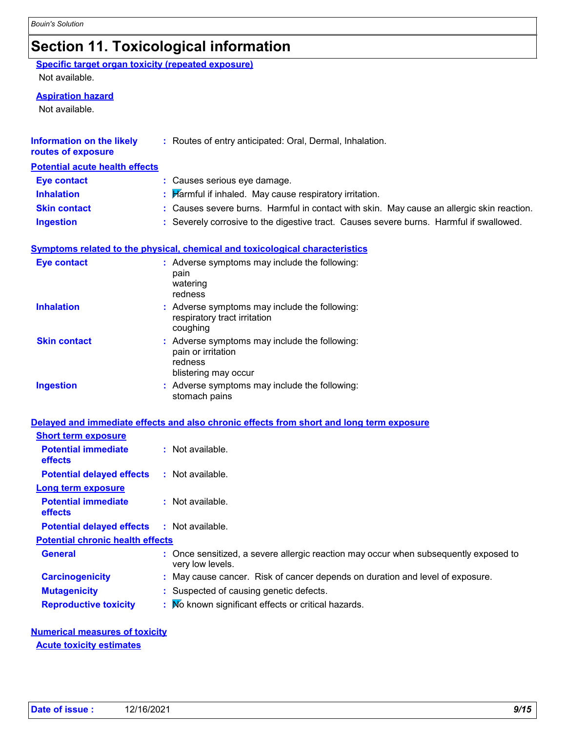## **Section 11. Toxicological information**

### **Specific target organ toxicity (repeated exposure)**

Not available.

#### **Aspiration hazard**

Not available.

| <b>Information on the likely</b><br>routes of exposure | : Routes of entry anticipated: Oral, Dermal, Inhalation.                                               |
|--------------------------------------------------------|--------------------------------------------------------------------------------------------------------|
| <b>Potential acute health effects</b>                  |                                                                                                        |
| <b>Eye contact</b>                                     | : Causes serious eye damage.                                                                           |
| <b>Inhalation</b>                                      | Harmful if inhaled. May cause respiratory irritation.                                                  |
| <b>Skin contact</b>                                    | : Causes severe burns. Harmful in contact with skin. May cause an allergic skin reaction.              |
| <b>Ingestion</b>                                       | : Severely corrosive to the digestive tract. Causes severe burns. Harmful if swallowed.                |
|                                                        | <b>Symptoms related to the physical, chemical and toxicological characteristics</b>                    |
| <b>Eye contact</b>                                     | : Adverse symptoms may include the following:<br>pain<br>watering<br>redness                           |
| <b>Inhalation</b>                                      | Adverse symptoms may include the following:<br>respiratory tract irritation<br>coughing                |
| <b>Skin contact</b>                                    | Adverse symptoms may include the following:<br>pain or irritation<br>redness<br>blistering may occur   |
| <b>Ingestion</b>                                       | Adverse symptoms may include the following:<br>stomach pains                                           |
|                                                        | Delayed and immediate effects and also chronic effects from short and long term exposure               |
| <b>Short term exposure</b>                             |                                                                                                        |
| <b>Potential immediate</b><br>effects                  | : Not available.                                                                                       |
| <b>Potential delayed effects</b>                       | : Not available.                                                                                       |
| Long term exposure                                     |                                                                                                        |
| <b>Potential immediate</b><br>effects                  | : Not available.                                                                                       |
| <b>Potential delayed effects</b>                       | : Not available.                                                                                       |
| <b>Potential chronic health effects</b>                |                                                                                                        |
| <b>General</b>                                         | Once sensitized, a severe allergic reaction may occur when subsequently exposed to<br>very low levels. |
| <b>Carcinogenicity</b>                                 | May cause cancer. Risk of cancer depends on duration and level of exposure.                            |
| <b>Mutagenicity</b>                                    | Suspected of causing genetic defects.                                                                  |
| <b>Reproductive toxicity</b>                           | No known significant effects or critical hazards.                                                      |

## **Numerical measures of toxicity**

**Acute toxicity estimates**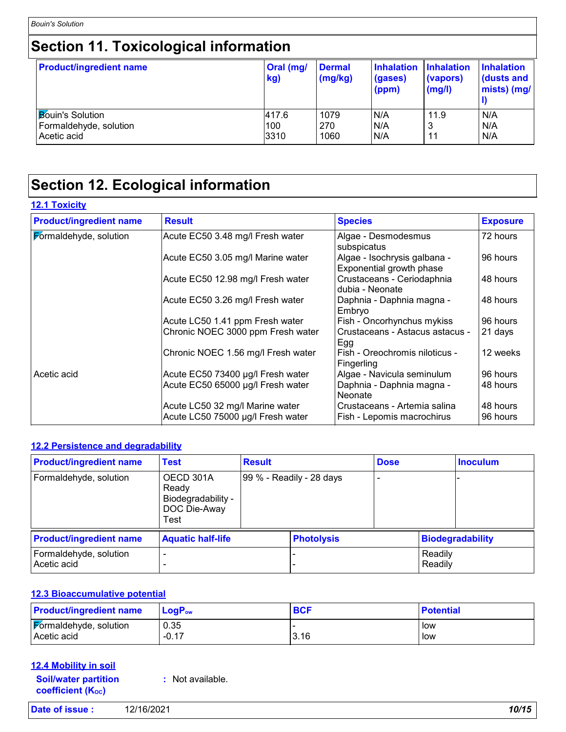# **Section 11. Toxicological information**

| <b>Product/ingredient name</b> | Oral (mg/<br>kg) | <b>Dermal</b><br>(mg/kg) | <b>Inhalation</b><br>(gases)<br>(ppm) | <b>Inhalation</b><br>(vapors)<br>(mg/l) | <b>Inhalation</b><br>dusts and<br>mists) (mg/ |
|--------------------------------|------------------|--------------------------|---------------------------------------|-----------------------------------------|-----------------------------------------------|
| <b>Bouin's Solution</b>        | 417.6            | 1079                     | N/A                                   | 11.9                                    | N/A                                           |
| Formaldehyde, solution         | 100              | 270                      | N/A                                   | 3                                       | N/A                                           |
| Acetic acid                    | 3310             | 1060                     | N/A                                   | 11                                      | N/A                                           |

## **Section 12. Ecological information**

### **12.1 Toxicity**

| <b>Product/ingredient name</b> | <b>Result</b>                                                        | <b>Species</b>                                             | <b>Exposure</b>      |
|--------------------------------|----------------------------------------------------------------------|------------------------------------------------------------|----------------------|
| Formaldehyde, solution         | Acute EC50 3.48 mg/l Fresh water                                     | Algae - Desmodesmus<br>subspicatus                         | 72 hours             |
|                                | Acute EC50 3.05 mg/l Marine water                                    | Algae - Isochrysis galbana -<br>Exponential growth phase   | 96 hours             |
|                                | Acute EC50 12.98 mg/l Fresh water                                    | Crustaceans - Ceriodaphnia<br>dubia - Neonate              | 48 hours             |
|                                | Acute EC50 3.26 mg/l Fresh water                                     | Daphnia - Daphnia magna -<br>Embryo                        | 48 hours             |
|                                | Acute LC50 1.41 ppm Fresh water                                      | Fish - Oncorhynchus mykiss                                 | 96 hours             |
|                                | Chronic NOEC 3000 ppm Fresh water                                    | Crustaceans - Astacus astacus -<br>Egg                     | 21 days              |
|                                | Chronic NOEC 1.56 mg/l Fresh water                                   | Fish - Oreochromis niloticus -<br>Fingerling               | 12 weeks             |
| Acetic acid                    | Acute EC50 73400 µg/l Fresh water                                    | Algae - Navicula seminulum                                 | 96 hours             |
|                                | Acute EC50 65000 µg/l Fresh water                                    | Daphnia - Daphnia magna -<br>Neonate                       | 48 hours             |
|                                | Acute LC50 32 mg/l Marine water<br>Acute LC50 75000 µg/l Fresh water | Crustaceans - Artemia salina<br>Fish - Lepomis macrochirus | 48 hours<br>96 hours |

#### **12.2 Persistence and degradability**

| <b>Product/ingredient name</b>        | <b>Test</b>                                                      | <b>Result</b> |                          | <b>Dose</b> |                    | <b>Inoculum</b>  |
|---------------------------------------|------------------------------------------------------------------|---------------|--------------------------|-------------|--------------------|------------------|
| Formaldehyde, solution                | OECD 301A<br>Ready<br>Biodegradability -<br>DOC Die-Away<br>Test |               | 99 % - Readily - 28 days |             |                    |                  |
| <b>Product/ingredient name</b>        | <b>Aquatic half-life</b>                                         |               | <b>Photolysis</b>        |             |                    | Biodegradability |
| Formaldehyde, solution<br>Acetic acid |                                                                  |               |                          |             | Readily<br>Readily |                  |

#### **12.3 Bioaccumulative potential**

| <b>Product/ingredient name</b> | $\mathsf{LogP}_\mathsf{ow}$ | <b>BCF</b> | <b>Potential</b> |
|--------------------------------|-----------------------------|------------|------------------|
| Formaldehyde, solution         | 0.35                        | 3.16       | low              |
| Acetic acid                    | $-0.17$                     |            | low              |

### **12.4 Mobility in soil**

**Soil/water partition coefficient (KOC) :** Not available.

| Date of issue: | 12/16/2021 | 10/15 |
|----------------|------------|-------|
|----------------|------------|-------|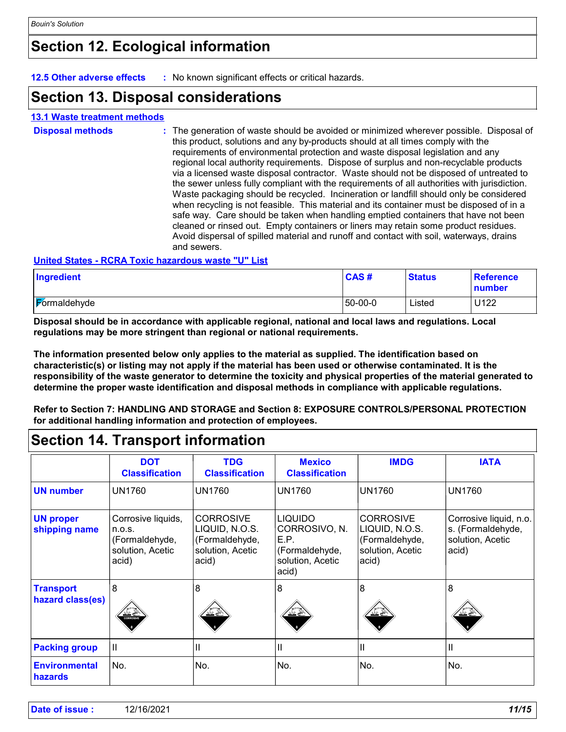## **Section 12. Ecological information**

**12.5 Other adverse effects :** No known significant effects or critical hazards.

### **Section 13. Disposal considerations**

#### **13.1 Waste treatment methods**

| <b>Disposal methods</b> | : The generation of waste should be avoided or minimized wherever possible. Disposal of<br>this product, solutions and any by-products should at all times comply with the<br>requirements of environmental protection and waste disposal legislation and any<br>regional local authority requirements. Dispose of surplus and non-recyclable products<br>via a licensed waste disposal contractor. Waste should not be disposed of untreated to<br>the sewer unless fully compliant with the requirements of all authorities with jurisdiction.<br>Waste packaging should be recycled. Incineration or landfill should only be considered<br>when recycling is not feasible. This material and its container must be disposed of in a<br>safe way. Care should be taken when handling emptied containers that have not been<br>cleaned or rinsed out. Empty containers or liners may retain some product residues.<br>Avoid dispersal of spilled material and runoff and contact with soil, waterways, drains<br>and sewers. |
|-------------------------|-------------------------------------------------------------------------------------------------------------------------------------------------------------------------------------------------------------------------------------------------------------------------------------------------------------------------------------------------------------------------------------------------------------------------------------------------------------------------------------------------------------------------------------------------------------------------------------------------------------------------------------------------------------------------------------------------------------------------------------------------------------------------------------------------------------------------------------------------------------------------------------------------------------------------------------------------------------------------------------------------------------------------------|
|                         | <b>Halted Otates - DODA Tayle keyeaders meets WHU List</b>                                                                                                                                                                                                                                                                                                                                                                                                                                                                                                                                                                                                                                                                                                                                                                                                                                                                                                                                                                    |

#### **United States - RCRA Toxic hazardous waste "U" List**

| Ingredient          | <b>CAS</b> # | <b>Status</b> | <b>Reference</b><br>number |
|---------------------|--------------|---------------|----------------------------|
| <b>Formaldehyde</b> | 50-00-0      | Listed        | U122                       |

**Disposal should be in accordance with applicable regional, national and local laws and regulations. Local regulations may be more stringent than regional or national requirements.**

**The information presented below only applies to the material as supplied. The identification based on characteristic(s) or listing may not apply if the material has been used or otherwise contaminated. It is the responsibility of the waste generator to determine the toxicity and physical properties of the material generated to determine the proper waste identification and disposal methods in compliance with applicable regulations.**

**Refer to Section 7: HANDLING AND STORAGE and Section 8: EXPOSURE CONTROLS/PERSONAL PROTECTION for additional handling information and protection of employees.**

### **Section 14. Transport information**

|                                        | <b>DOT</b><br><b>Classification</b>                                         | <b>TDG</b><br><b>Classification</b>                                               | <b>Mexico</b><br><b>Classification</b>                                                 | <b>IMDG</b>                                                                       | <b>IATA</b>                                                              |
|----------------------------------------|-----------------------------------------------------------------------------|-----------------------------------------------------------------------------------|----------------------------------------------------------------------------------------|-----------------------------------------------------------------------------------|--------------------------------------------------------------------------|
| <b>UN number</b>                       | <b>UN1760</b>                                                               | <b>UN1760</b>                                                                     | <b>UN1760</b>                                                                          | <b>UN1760</b>                                                                     | <b>UN1760</b>                                                            |
| <b>UN proper</b><br>shipping name      | Corrosive liquids,<br>n.o.s.<br>(Formaldehyde,<br>solution, Acetic<br>acid) | <b>CORROSIVE</b><br>LIQUID, N.O.S.<br>(Formaldehyde,<br>solution, Acetic<br>acid) | <b>LIQUIDO</b><br>CORROSIVO, N.<br>E.P.<br>(Formaldehyde,<br>solution, Acetic<br>acid) | <b>CORROSIVE</b><br>LIQUID, N.O.S.<br>(Formaldehyde,<br>solution, Acetic<br>acid) | Corrosive liquid, n.o.<br>s. (Formaldehyde,<br>solution, Acetic<br>acid) |
| <b>Transport</b><br>hazard class(es)   | 8<br>CORROSIVE                                                              | 8<br>کے کنڈ                                                                       | 8<br>$\frac{\sqrt{3}}{2}$                                                              | 8<br>کی گئے۔                                                                      | 8                                                                        |
| <b>Packing group</b>                   | $\mathbf{  }$                                                               | Ш                                                                                 | $\mathbf{  }$                                                                          | $\mathbf{I}$                                                                      | $\mathbf{  }$                                                            |
| <b>Environmental</b><br><b>hazards</b> | No.                                                                         | No.                                                                               | No.                                                                                    | No.                                                                               | No.                                                                      |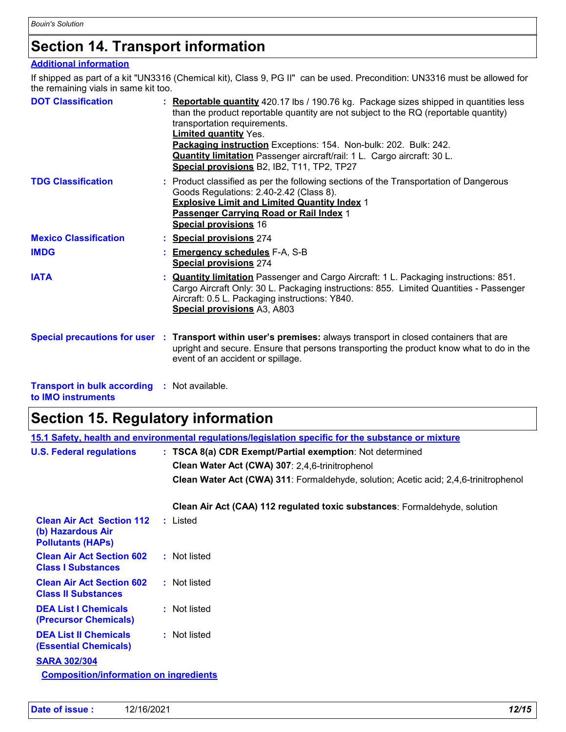## **Section 14. Transport information**

### **Additional information**

If shipped as part of a kit "UN3316 (Chemical kit), Class 9, PG II" can be used. Precondition: UN3316 must be allowed for the remaining vials in same kit too.

| <b>DOT Classification</b>    | : Reportable quantity 420.17 lbs / 190.76 kg. Package sizes shipped in quantities less<br>than the product reportable quantity are not subject to the RQ (reportable quantity)<br>transportation requirements.<br>Limited quantity Yes.<br>Packaging instruction Exceptions: 154. Non-bulk: 202. Bulk: 242.<br><b>Quantity limitation</b> Passenger aircraft/rail: 1 L. Cargo aircraft: 30 L.<br>Special provisions B2, IB2, T11, TP2, TP27 |
|------------------------------|---------------------------------------------------------------------------------------------------------------------------------------------------------------------------------------------------------------------------------------------------------------------------------------------------------------------------------------------------------------------------------------------------------------------------------------------|
| <b>TDG Classification</b>    | : Product classified as per the following sections of the Transportation of Dangerous<br>Goods Regulations: 2.40-2.42 (Class 8).<br><b>Explosive Limit and Limited Quantity Index 1</b><br>Passenger Carrying Road or Rail Index 1<br><b>Special provisions 16</b>                                                                                                                                                                          |
| <b>Mexico Classification</b> | : Special provisions 274                                                                                                                                                                                                                                                                                                                                                                                                                    |
| <b>IMDG</b>                  | <b>Emergency schedules F-A, S-B</b><br><b>Special provisions 274</b>                                                                                                                                                                                                                                                                                                                                                                        |
| <b>IATA</b>                  | <b>Quantity limitation</b> Passenger and Cargo Aircraft: 1 L. Packaging instructions: 851.<br>Cargo Aircraft Only: 30 L. Packaging instructions: 855. Limited Quantities - Passenger<br>Aircraft: 0.5 L. Packaging instructions: Y840.<br>Special provisions A3, A803                                                                                                                                                                       |
|                              | Special precautions for user : Transport within user's premises: always transport in closed containers that are<br>upright and secure. Ensure that persons transporting the product know what to do in the<br>event of an accident or spillage.                                                                                                                                                                                             |
|                              |                                                                                                                                                                                                                                                                                                                                                                                                                                             |

**Transport in bulk according :** Not available. **to IMO instruments**

# **Section 15. Regulatory information**

|                                                                                   | <u>15.1 Safety, health and environmental regulations/legislation specific for the substance or mixture</u> |
|-----------------------------------------------------------------------------------|------------------------------------------------------------------------------------------------------------|
| <b>U.S. Federal regulations</b>                                                   | : TSCA 8(a) CDR Exempt/Partial exemption: Not determined                                                   |
|                                                                                   | Clean Water Act (CWA) 307: 2,4,6-trinitrophenol                                                            |
|                                                                                   | Clean Water Act (CWA) 311: Formaldehyde, solution; Acetic acid; 2,4,6-trinitrophenol                       |
|                                                                                   | Clean Air Act (CAA) 112 regulated toxic substances: Formaldehyde, solution                                 |
| <b>Clean Air Act Section 112</b><br>(b) Hazardous Air<br><b>Pollutants (HAPS)</b> | : Listed                                                                                                   |
| <b>Clean Air Act Section 602</b><br><b>Class I Substances</b>                     | : Not listed                                                                                               |
| <b>Clean Air Act Section 602</b><br><b>Class II Substances</b>                    | : Not listed                                                                                               |
| <b>DEA List I Chemicals</b><br>(Precursor Chemicals)                              | : Not listed                                                                                               |
| <b>DEA List II Chemicals</b><br><b>(Essential Chemicals)</b>                      | : Not listed                                                                                               |
| <b>SARA 302/304</b>                                                               |                                                                                                            |
| <b>Composition/information on ingredients</b>                                     |                                                                                                            |
|                                                                                   |                                                                                                            |
|                                                                                   |                                                                                                            |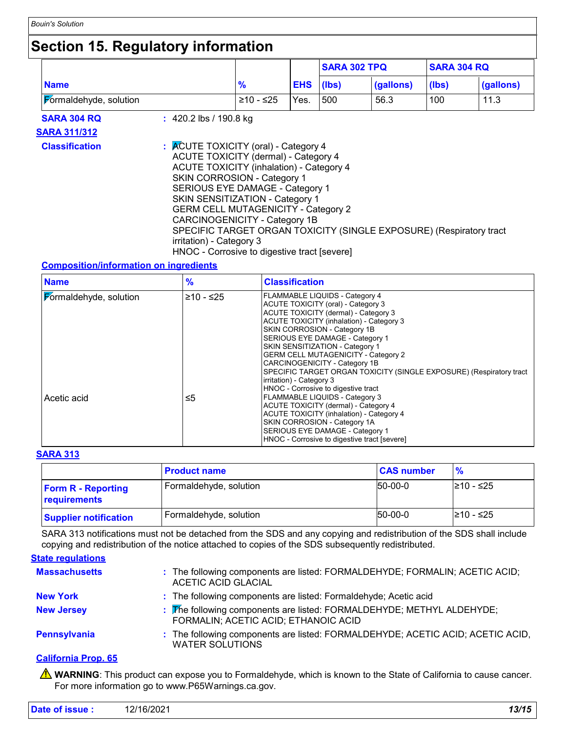## **Section 15. Regulatory information**

|                        |                                                                                                                                                                                                                                                                                                                                                                                                                                                                        |               |            | <b>SARA 302 TPQ</b> |           | <b>SARA 304 RQ</b> |           |
|------------------------|------------------------------------------------------------------------------------------------------------------------------------------------------------------------------------------------------------------------------------------------------------------------------------------------------------------------------------------------------------------------------------------------------------------------------------------------------------------------|---------------|------------|---------------------|-----------|--------------------|-----------|
| <b>Name</b>            |                                                                                                                                                                                                                                                                                                                                                                                                                                                                        | $\frac{9}{6}$ | <b>EHS</b> | (Ibs)               | (gallons) | (lbs)              | (gallons) |
| Formaldehyde, solution |                                                                                                                                                                                                                                                                                                                                                                                                                                                                        | ≥10 - ≤25     | Yes.       | 500                 | 56.3      | 100                | 11.3      |
| <b>SARA 304 RQ</b>     | $\div$ 420.2 lbs / 190.8 kg                                                                                                                                                                                                                                                                                                                                                                                                                                            |               |            |                     |           |                    |           |
| <b>SARA 311/312</b>    |                                                                                                                                                                                                                                                                                                                                                                                                                                                                        |               |            |                     |           |                    |           |
| <b>Classification</b>  | : ACUTE TOXICITY (oral) - Category 4<br>ACUTE TOXICITY (dermal) - Category 4<br><b>ACUTE TOXICITY (inhalation) - Category 4</b><br>SKIN CORROSION - Category 1<br>SERIOUS EYE DAMAGE - Category 1<br>SKIN SENSITIZATION - Category 1<br><b>GERM CELL MUTAGENICITY - Category 2</b><br>CARCINOGENICITY - Category 1B<br>SPECIFIC TARGET ORGAN TOXICITY (SINGLE EXPOSURE) (Respiratory tract<br>irritation) - Category 3<br>HNOC - Corrosive to digestive tract [severe] |               |            |                     |           |                    |           |

#### **Composition/information on ingredients**

| <b>Name</b>            | $\frac{9}{6}$ | <b>Classification</b>                                                                                                                                                                                                                                                                                                                                                                                                                                                                   |
|------------------------|---------------|-----------------------------------------------------------------------------------------------------------------------------------------------------------------------------------------------------------------------------------------------------------------------------------------------------------------------------------------------------------------------------------------------------------------------------------------------------------------------------------------|
| Formaldehyde, solution | $≥10 - ≤25$   | FLAMMABLE LIQUIDS - Category 4<br>ACUTE TOXICITY (oral) - Category 3<br>ACUTE TOXICITY (dermal) - Category 3<br>ACUTE TOXICITY (inhalation) - Category 3<br>SKIN CORROSION - Category 1B<br>SERIOUS EYE DAMAGE - Category 1<br>SKIN SENSITIZATION - Category 1<br><b>GERM CELL MUTAGENICITY - Category 2</b><br>CARCINOGENICITY - Category 1B<br>SPECIFIC TARGET ORGAN TOXICITY (SINGLE EXPOSURE) (Respiratory tract<br>irritation) - Category 3<br>HNOC - Corrosive to digestive tract |
| Acetic acid            | ≤5            | FLAMMABLE LIQUIDS - Category 3<br>ACUTE TOXICITY (dermal) - Category 4<br>ACUTE TOXICITY (inhalation) - Category 4<br><b>SKIN CORROSION - Category 1A</b><br>SERIOUS EYE DAMAGE - Category 1<br>HNOC - Corrosive to digestive tract [severe]                                                                                                                                                                                                                                            |

#### **SARA 313**

|                                           | <b>Product name</b>    | <b>CAS number</b> |            |
|-------------------------------------------|------------------------|-------------------|------------|
| <b>Form R - Reporting</b><br>requirements | Formaldehyde, solution | $150 - 00 - 0$    | l≥10 - ≤25 |
| <b>Supplier notification</b>              | Formaldehyde, solution | $150 - 00 - 0$    | l≥10 - ≤25 |

SARA 313 notifications must not be detached from the SDS and any copying and redistribution of the SDS shall include copying and redistribution of the notice attached to copies of the SDS subsequently redistributed.

### **State regulations**

| <b>Massachusetts</b> | : The following components are listed: FORMALDEHYDE; FORMALIN; ACETIC ACID;<br><b>ACETIC ACID GLACIAL</b>     |
|----------------------|---------------------------------------------------------------------------------------------------------------|
| <b>New York</b>      | : The following components are listed: Formaldehyde; Acetic acid                                              |
| <b>New Jersey</b>    | : The following components are listed: FORMALDEHYDE; METHYL ALDEHYDE;<br>FORMALIN; ACETIC ACID; ETHANOIC ACID |
| <b>Pennsylvania</b>  | : The following components are listed: FORMALDEHYDE; ACETIC ACID; ACETIC ACID,<br><b>WATER SOLUTIONS</b>      |

### **California Prop. 65**

**A** WARNING: This product can expose you to Formaldehyde, which is known to the State of California to cause cancer. For more information go to www.P65Warnings.ca.gov.

| Date of issue :<br>12/16/2021 | 13/15 |
|-------------------------------|-------|
|-------------------------------|-------|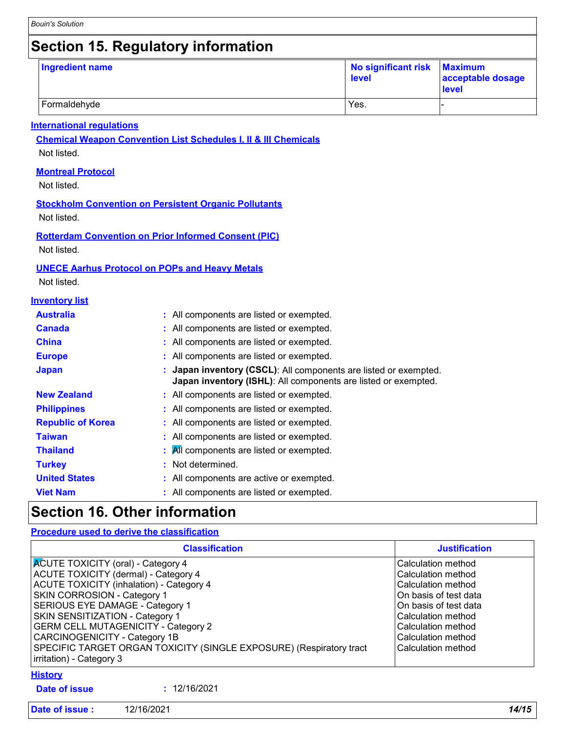## **Section 15. Regulatory information**

| Ingredient name | No significant risk Maximum<br>level | acceptable dosage<br><b>level</b> |
|-----------------|--------------------------------------|-----------------------------------|
| Formaldehyde    | Yes.                                 |                                   |

#### **International regulations**

**Chemical Weapon Convention List Schedules I, II & III Chemicals** Not listed.

#### **Montreal Protocol**

Not listed.

#### **Stockholm Convention on Persistent Organic Pollutants**

Not listed.

**Rotterdam Convention on Prior Informed Consent (PIC)** Not listed.

#### **UNECE Aarhus Protocol on POPs and Heavy Metals**

Not listed.

#### **Inventory list**

| <b>Australia</b>         | : All components are listed or exempted.                                                                                           |
|--------------------------|------------------------------------------------------------------------------------------------------------------------------------|
| <b>Canada</b>            | : All components are listed or exempted.                                                                                           |
| <b>China</b>             | : All components are listed or exempted.                                                                                           |
| <b>Europe</b>            | : All components are listed or exempted.                                                                                           |
| <b>Japan</b>             | : Japan inventory (CSCL): All components are listed or exempted.<br>Japan inventory (ISHL): All components are listed or exempted. |
| <b>New Zealand</b>       | : All components are listed or exempted.                                                                                           |
| <b>Philippines</b>       | : All components are listed or exempted.                                                                                           |
| <b>Republic of Korea</b> | : All components are listed or exempted.                                                                                           |
| <b>Taiwan</b>            | : All components are listed or exempted.                                                                                           |
| <b>Thailand</b>          | $\mathbf{A}$ All components are listed or exempted.                                                                                |
| <b>Turkey</b>            | : Not determined.                                                                                                                  |
| <b>United States</b>     | : All components are active or exempted.                                                                                           |
| <b>Viet Nam</b>          | : All components are listed or exempted.                                                                                           |
|                          |                                                                                                                                    |

### **Section 16. Other information**

#### **Procedure used to derive the classification**

| <b>Classification</b>                                                                                                                                                                                                                                                                                                                                                                                                                     | <b>Justification</b>                                                                                                                                                                                     |
|-------------------------------------------------------------------------------------------------------------------------------------------------------------------------------------------------------------------------------------------------------------------------------------------------------------------------------------------------------------------------------------------------------------------------------------------|----------------------------------------------------------------------------------------------------------------------------------------------------------------------------------------------------------|
| <b>ACUTE TOXICITY (oral) - Category 4</b><br>ACUTE TOXICITY (dermal) - Category 4<br><b>ACUTE TOXICITY (inhalation) - Category 4</b><br>SKIN CORROSION - Category 1<br>SERIOUS EYE DAMAGE - Category 1<br><b>SKIN SENSITIZATION - Category 1</b><br><b>GERM CELL MUTAGENICITY - Category 2</b><br><b>CARCINOGENICITY - Category 1B</b><br>SPECIFIC TARGET ORGAN TOXICITY (SINGLE EXPOSURE) (Respiratory tract<br>irritation) - Category 3 | Calculation method<br>Calculation method<br>Calculation method<br>On basis of test data<br>On basis of test data<br>Calculation method<br>Calculation method<br>Calculation method<br>Calculation method |
| <b>History</b><br>: 12/16/2021<br>Date of issue                                                                                                                                                                                                                                                                                                                                                                                           |                                                                                                                                                                                                          |
| Date of issue:<br>12/16/2021                                                                                                                                                                                                                                                                                                                                                                                                              | 14/15                                                                                                                                                                                                    |